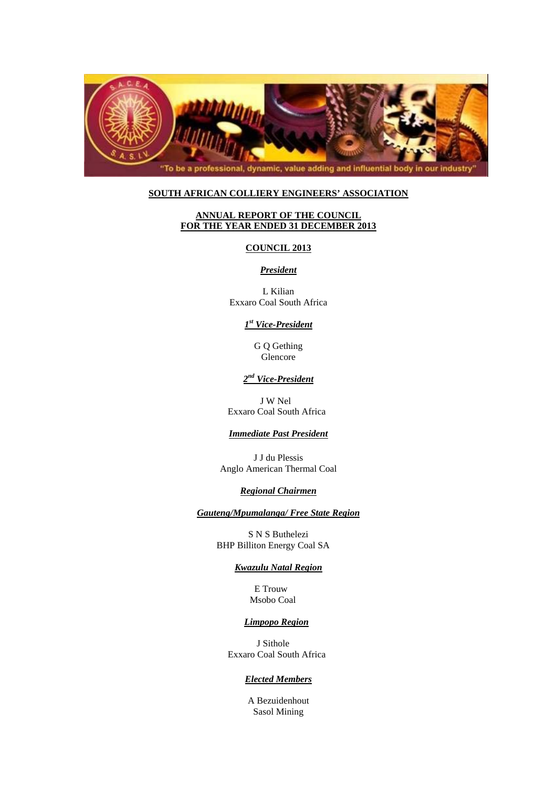

### **SOUTH AFRICAN COLLIERY ENGINEERS' ASSOCIATION**

# **ANNUAL REPORT OF THE COUNCIL FOR THE YEAR ENDED 31 DECEMBER 2013**

### **COUNCIL 2013**

### *President*

L Kilian Exxaro Coal South Africa

## *1st Vice-President*

G Q Gething Glencore

# *2nd Vice-President*

 J W Nel Exxaro Coal South Africa

### *Immediate Past President*

J J du Plessis Anglo American Thermal Coal

#### *Regional Chairmen*

*Gauteng/Mpumalanga/ Free State Region* 

S N S Buthelezi BHP Billiton Energy Coal SA

## *Kwazulu Natal Region*

 E Trouw Msobo Coal

## *Limpopo Region*

 J Sithole Exxaro Coal South Africa

### *Elected Members*

A Bezuidenhout Sasol Mining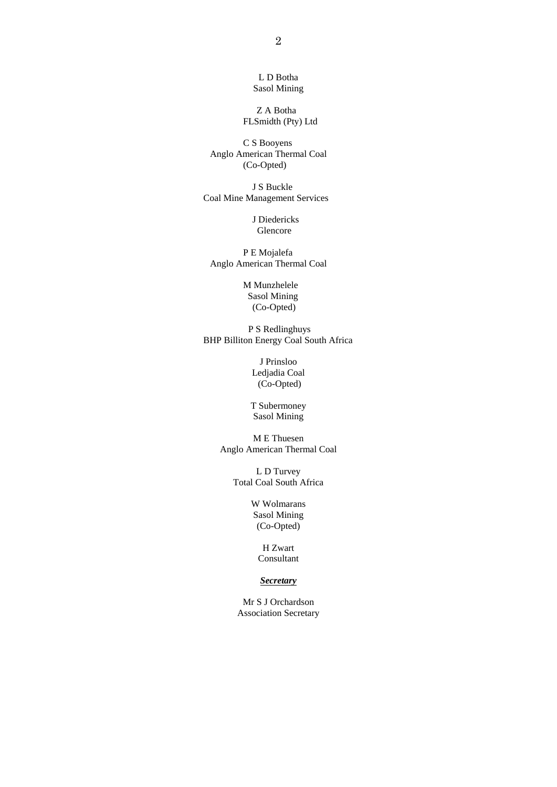L D Botha Sasol Mining

Z A Botha FLSmidth (Pty) Ltd

C S Booyens Anglo American Thermal Coal (Co-Opted)

J S Buckle Coal Mine Management Services

> J Diedericks Glencore

P E Mojalefa Anglo American Thermal Coal

> M Munzhelele Sasol Mining (Co-Opted)

P S Redlinghuys BHP Billiton Energy Coal South Africa

> J Prinsloo Ledjadia Coal (Co-Opted)

T Subermoney Sasol Mining

M E Thuesen Anglo American Thermal Coal

> L D Turvey Total Coal South Africa

> > W Wolmarans Sasol Mining (Co-Opted)

> > > H Zwart Consultant

# *Secretary*

Mr S J Orchardson Association Secretary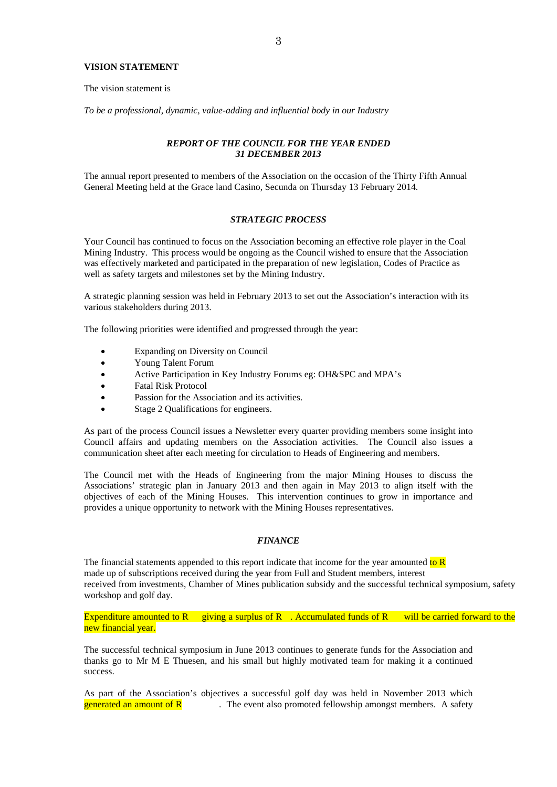## **VISION STATEMENT**

The vision statement is

*To be a professional, dynamic, value-adding and influential body in our Industry* 

#### *REPORT OF THE COUNCIL FOR THE YEAR ENDED 31 DECEMBER 2013*

The annual report presented to members of the Association on the occasion of the Thirty Fifth Annual General Meeting held at the Grace land Casino, Secunda on Thursday 13 February 2014.

#### *STRATEGIC PROCESS*

Your Council has continued to focus on the Association becoming an effective role player in the Coal Mining Industry. This process would be ongoing as the Council wished to ensure that the Association was effectively marketed and participated in the preparation of new legislation, Codes of Practice as well as safety targets and milestones set by the Mining Industry.

A strategic planning session was held in February 2013 to set out the Association's interaction with its various stakeholders during 2013.

The following priorities were identified and progressed through the year:

- Expanding on Diversity on Council
- Young Talent Forum
- Active Participation in Key Industry Forums eg: OH&SPC and MPA's
- Fatal Risk Protocol
- Passion for the Association and its activities.
- Stage 2 Qualifications for engineers.

As part of the process Council issues a Newsletter every quarter providing members some insight into Council affairs and updating members on the Association activities. The Council also issues a communication sheet after each meeting for circulation to Heads of Engineering and members.

The Council met with the Heads of Engineering from the major Mining Houses to discuss the Associations' strategic plan in January 2013 and then again in May 2013 to align itself with the objectives of each of the Mining Houses. This intervention continues to grow in importance and provides a unique opportunity to network with the Mining Houses representatives.

### *FINANCE*

The financial statements appended to this report indicate that income for the year amounted to  $R$ made up of subscriptions received during the year from Full and Student members, interest received from investments, Chamber of Mines publication subsidy and the successful technical symposium, safety workshop and golf day.

Expenditure amounted to R giving a surplus of R  $\cdot$ . Accumulated funds of R will be carried forward to the new financial year.

The successful technical symposium in June 2013 continues to generate funds for the Association and thanks go to Mr M E Thuesen, and his small but highly motivated team for making it a continued success.

As part of the Association's objectives a successful golf day was held in November 2013 which **generated an amount of R**  $\cdot$  The event also promoted fellowship amongst members. A safety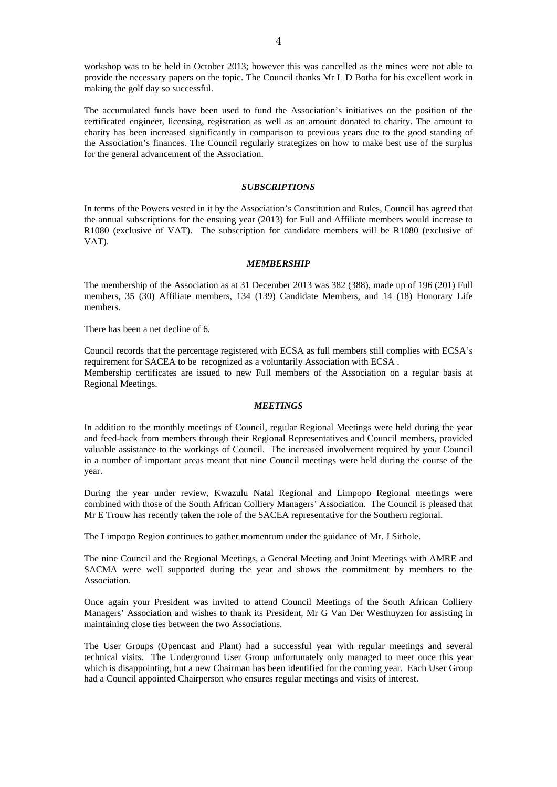workshop was to be held in October 2013; however this was cancelled as the mines were not able to provide the necessary papers on the topic. The Council thanks Mr L D Botha for his excellent work in making the golf day so successful.

The accumulated funds have been used to fund the Association's initiatives on the position of the certificated engineer, licensing, registration as well as an amount donated to charity. The amount to charity has been increased significantly in comparison to previous years due to the good standing of the Association's finances. The Council regularly strategizes on how to make best use of the surplus for the general advancement of the Association.

#### *SUBSCRIPTIONS*

In terms of the Powers vested in it by the Association's Constitution and Rules, Council has agreed that the annual subscriptions for the ensuing year (2013) for Full and Affiliate members would increase to R1080 (exclusive of VAT). The subscription for candidate members will be R1080 (exclusive of VAT).

#### *MEMBERSHIP*

The membership of the Association as at 31 December 2013 was 382 (388), made up of 196 (201) Full members, 35 (30) Affiliate members, 134 (139) Candidate Members, and 14 (18) Honorary Life members.

There has been a net decline of 6.

Council records that the percentage registered with ECSA as full members still complies with ECSA's requirement for SACEA to be recognized as a voluntarily Association with ECSA . Membership certificates are issued to new Full members of the Association on a regular basis at Regional Meetings.

### *MEETINGS*

In addition to the monthly meetings of Council, regular Regional Meetings were held during the year and feed-back from members through their Regional Representatives and Council members, provided valuable assistance to the workings of Council. The increased involvement required by your Council in a number of important areas meant that nine Council meetings were held during the course of the year.

During the year under review, Kwazulu Natal Regional and Limpopo Regional meetings were combined with those of the South African Colliery Managers' Association. The Council is pleased that Mr E Trouw has recently taken the role of the SACEA representative for the Southern regional.

The Limpopo Region continues to gather momentum under the guidance of Mr. J Sithole.

The nine Council and the Regional Meetings, a General Meeting and Joint Meetings with AMRE and SACMA were well supported during the year and shows the commitment by members to the Association.

Once again your President was invited to attend Council Meetings of the South African Colliery Managers' Association and wishes to thank its President, Mr G Van Der Westhuyzen for assisting in maintaining close ties between the two Associations.

The User Groups (Opencast and Plant) had a successful year with regular meetings and several technical visits. The Underground User Group unfortunately only managed to meet once this year which is disappointing, but a new Chairman has been identified for the coming year. Each User Group had a Council appointed Chairperson who ensures regular meetings and visits of interest.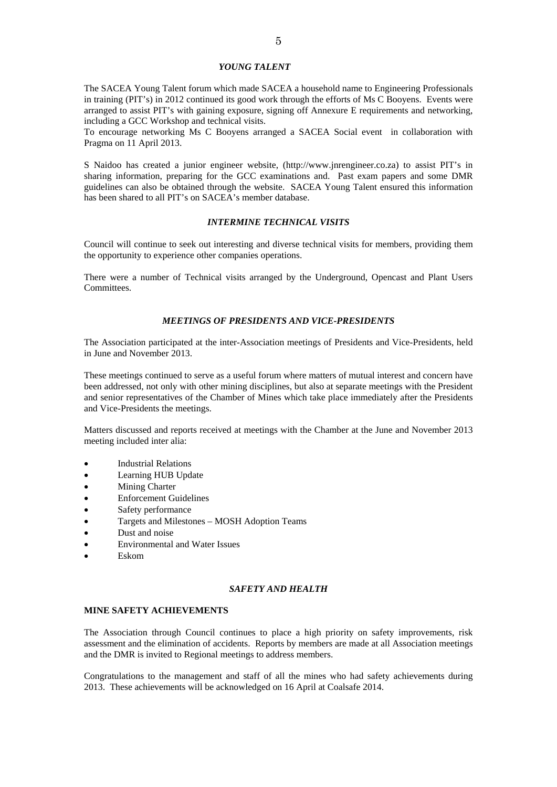## *YOUNG TALENT*

The SACEA Young Talent forum which made SACEA a household name to Engineering Professionals in training (PIT's) in 2012 continued its good work through the efforts of Ms C Booyens. Events were arranged to assist PIT's with gaining exposure, signing off Annexure E requirements and networking, including a GCC Workshop and technical visits.

To encourage networking Ms C Booyens arranged a SACEA Social event in collaboration with Pragma on 11 April 2013.

S Naidoo has created a junior engineer website, (http://www.jnrengineer.co.za) to assist PIT's in sharing information, preparing for the GCC examinations and. Past exam papers and some DMR guidelines can also be obtained through the website. SACEA Young Talent ensured this information has been shared to all PIT's on SACEA's member database.

#### *INTERMINE TECHNICAL VISITS*

Council will continue to seek out interesting and diverse technical visits for members, providing them the opportunity to experience other companies operations.

There were a number of Technical visits arranged by the Underground, Opencast and Plant Users Committees.

#### *MEETINGS OF PRESIDENTS AND VICE-PRESIDENTS*

The Association participated at the inter-Association meetings of Presidents and Vice-Presidents, held in June and November 2013.

These meetings continued to serve as a useful forum where matters of mutual interest and concern have been addressed, not only with other mining disciplines, but also at separate meetings with the President and senior representatives of the Chamber of Mines which take place immediately after the Presidents and Vice-Presidents the meetings.

Matters discussed and reports received at meetings with the Chamber at the June and November 2013 meeting included inter alia:

- Industrial Relations
- Learning HUB Update
- Mining Charter
- Enforcement Guidelines
- Safety performance
- Targets and Milestones MOSH Adoption Teams
- Dust and noise
- Environmental and Water Issues
- Eskom

## *SAFETY AND HEALTH*

#### **MINE SAFETY ACHIEVEMENTS**

The Association through Council continues to place a high priority on safety improvements, risk assessment and the elimination of accidents. Reports by members are made at all Association meetings and the DMR is invited to Regional meetings to address members.

Congratulations to the management and staff of all the mines who had safety achievements during 2013. These achievements will be acknowledged on 16 April at Coalsafe 2014.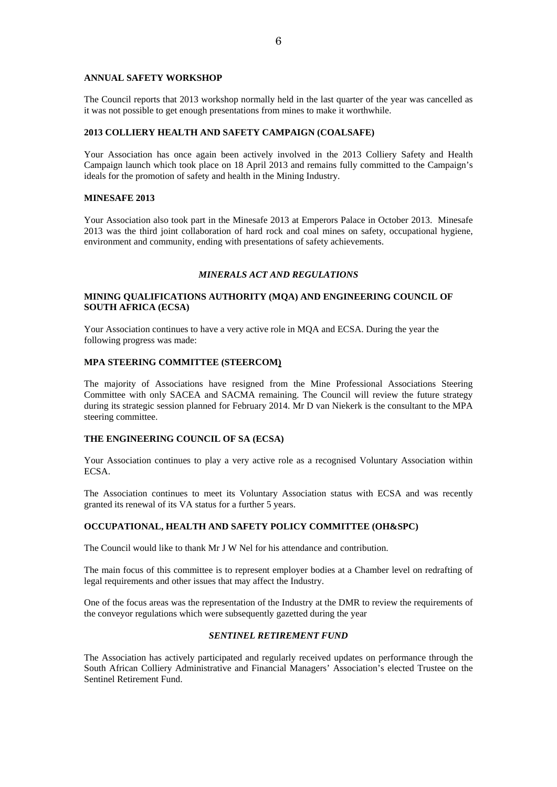### **ANNUAL SAFETY WORKSHOP**

The Council reports that 2013 workshop normally held in the last quarter of the year was cancelled as it was not possible to get enough presentations from mines to make it worthwhile.

### **2013 COLLIERY HEALTH AND SAFETY CAMPAIGN (COALSAFE)**

Your Association has once again been actively involved in the 2013 Colliery Safety and Health Campaign launch which took place on 18 April 2013 and remains fully committed to the Campaign's ideals for the promotion of safety and health in the Mining Industry.

#### **MINESAFE 2013**

Your Association also took part in the Minesafe 2013 at Emperors Palace in October 2013. Minesafe 2013 was the third joint collaboration of hard rock and coal mines on safety, occupational hygiene, environment and community, ending with presentations of safety achievements.

## *MINERALS ACT AND REGULATIONS*

## **MINING QUALIFICATIONS AUTHORITY (MQA) AND ENGINEERING COUNCIL OF SOUTH AFRICA (ECSA)**

Your Association continues to have a very active role in MQA and ECSA. During the year the following progress was made:

#### **MPA STEERING COMMITTEE (STEERCOM)**

The majority of Associations have resigned from the Mine Professional Associations Steering Committee with only SACEA and SACMA remaining. The Council will review the future strategy during its strategic session planned for February 2014. Mr D van Niekerk is the consultant to the MPA steering committee.

#### **THE ENGINEERING COUNCIL OF SA (ECSA)**

Your Association continues to play a very active role as a recognised Voluntary Association within ECSA.

The Association continues to meet its Voluntary Association status with ECSA and was recently granted its renewal of its VA status for a further 5 years.

#### **OCCUPATIONAL, HEALTH AND SAFETY POLICY COMMITTEE (OH&SPC)**

The Council would like to thank Mr J W Nel for his attendance and contribution.

The main focus of this committee is to represent employer bodies at a Chamber level on redrafting of legal requirements and other issues that may affect the Industry.

One of the focus areas was the representation of the Industry at the DMR to review the requirements of the conveyor regulations which were subsequently gazetted during the year

#### *SENTINEL RETIREMENT FUND*

The Association has actively participated and regularly received updates on performance through the South African Colliery Administrative and Financial Managers' Association's elected Trustee on the Sentinel Retirement Fund.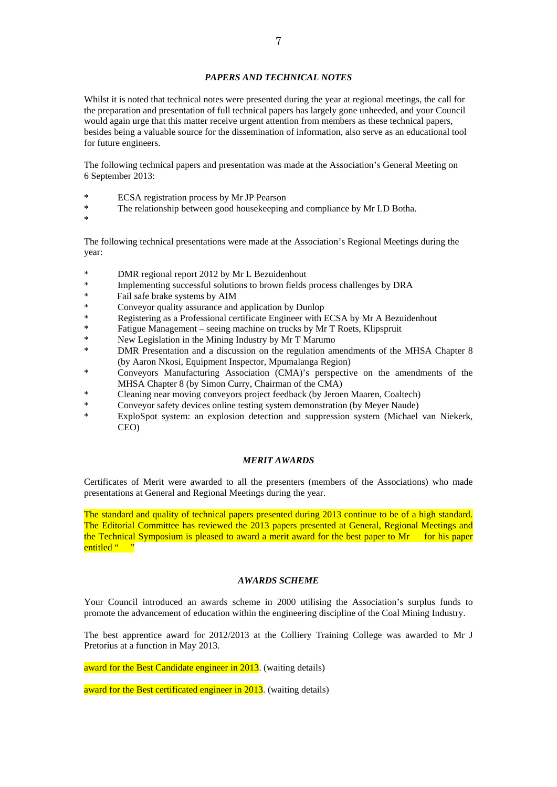# *PAPERS AND TECHNICAL NOTES*

Whilst it is noted that technical notes were presented during the year at regional meetings, the call for the preparation and presentation of full technical papers has largely gone unheeded, and your Council would again urge that this matter receive urgent attention from members as these technical papers, besides being a valuable source for the dissemination of information, also serve as an educational tool for future engineers.

The following technical papers and presentation was made at the Association's General Meeting on 6 September 2013:

- \* ECSA registration process by Mr JP Pearson
- \* The relationship between good housekeeping and compliance by Mr LD Botha.
- \*

The following technical presentations were made at the Association's Regional Meetings during the year:

- \* DMR regional report 2012 by Mr L Bezuidenhout
- \* Implementing successful solutions to brown fields process challenges by DRA<br>  $\frac{1}{2}$
- Fail safe brake systems by AIM
- \* Conveyor quality assurance and application by Dunlop
- \* Registering as a Professional certificate Engineer with ECSA by Mr A Bezuidenhout
- \* Fatigue Management seeing machine on trucks by Mr T Roets, Klipspruit
- \* New Legislation in the Mining Industry by Mr T Marumo
- DMR Presentation and a discussion on the regulation amendments of the MHSA Chapter 8 (by Aaron Nkosi, Equipment Inspector, Mpumalanga Region)
- \* Conveyors Manufacturing Association (CMA)'s perspective on the amendments of the MHSA Chapter 8 (by Simon Curry, Chairman of the CMA)
- \* Cleaning near moving conveyors project feedback (by Jeroen Maaren, Coaltech)
- Conveyor safety devices online testing system demonstration (by Meyer Naude)
- \* ExploSpot system: an explosion detection and suppression system (Michael van Niekerk, CEO)

#### *MERIT AWARDS*

Certificates of Merit were awarded to all the presenters (members of the Associations) who made presentations at General and Regional Meetings during the year.

The standard and quality of technical papers presented during 2013 continue to be of a high standard. The Editorial Committee has reviewed the 2013 papers presented at General, Regional Meetings and the Technical Symposium is pleased to award a merit award for the best paper to  $Mr$  for his paper entitled " "

#### *AWARDS SCHEME*

Your Council introduced an awards scheme in 2000 utilising the Association's surplus funds to promote the advancement of education within the engineering discipline of the Coal Mining Industry.

The best apprentice award for 2012/2013 at the Colliery Training College was awarded to Mr J Pretorius at a function in May 2013.

award for the Best Candidate engineer in 2013. (waiting details)

award for the Best certificated engineer in 2013. (waiting details)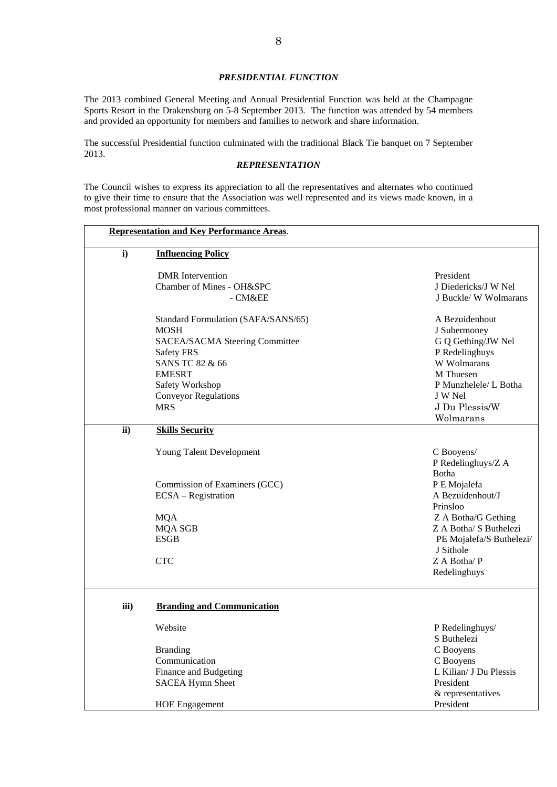# *PRESIDENTIAL FUNCTION*

The 2013 combined General Meeting and Annual Presidential Function was held at the Champagne Sports Resort in the Drakensburg on 5-8 September 2013. The function was attended by 54 members and provided an opportunity for members and families to network and share information.

The successful Presidential function culminated with the traditional Black Tie banquet on 7 September 2013.

#### *REPRESENTATION*

The Council wishes to express its appreciation to all the representatives and alternates who continued to give their time to ensure that the Association was well represented and its views made known, in a most professional manner on various committees.

| $\mathbf{i}$ | <b>Influencing Policy</b>           |                          |
|--------------|-------------------------------------|--------------------------|
|              | <b>DMR</b> Intervention             | President                |
|              | Chamber of Mines - OH&SPC           | J Diedericks/J W Nel     |
|              | - CM&EE                             | J Buckle/ W Wolmarans    |
|              | Standard Formulation (SAFA/SANS/65) | A Bezuidenhout           |
|              | <b>MOSH</b>                         | J Subermoney             |
|              | SACEA/SACMA Steering Committee      | G Q Gething/JW Nel       |
|              | Safety FRS                          | P Redelinghuys           |
|              | SANS TC 82 & 66                     | W Wolmarans              |
|              | <b>EMESRT</b>                       | M Thuesen                |
|              | Safety Workshop                     | P Munzhelele/ L Botha    |
|              | <b>Conveyor Regulations</b>         | J W Nel                  |
|              | <b>MRS</b>                          | J Du Plessis/W           |
|              |                                     | Wolmarans                |
| ii)          | <b>Skills Security</b>              |                          |
|              | Young Talent Development            | C Booyens/               |
|              |                                     | P Redelinghuys/Z A       |
|              |                                     | Botha                    |
|              | Commission of Examiners (GCC)       | P E Mojalefa             |
|              | ECSA - Registration                 | A Bezuidenhout/J         |
|              |                                     | Prinsloo                 |
|              | <b>MQA</b>                          | Z A Botha/G Gething      |
|              | <b>MQA SGB</b>                      | Z A Botha/ S Buthelezi   |
|              | <b>ESGB</b>                         | PE Mojalefa/S Buthelezi/ |
|              |                                     | J Sithole                |
|              | <b>CTC</b>                          | Z A Botha/P              |
|              |                                     | Redelinghuys             |
|              |                                     |                          |
| iii)         | <b>Branding and Communication</b>   |                          |
|              | Website                             | P Redelinghuys/          |
|              |                                     | S Buthelezi              |
|              | <b>Branding</b>                     | C Booyens                |
|              | Communication                       | C Booyens                |
|              | Finance and Budgeting               | L Kilian/ J Du Plessis   |
|              | <b>SACEA Hymn Sheet</b>             | President                |
|              |                                     | & representatives        |
|              | <b>HOE Engagement</b>               | President                |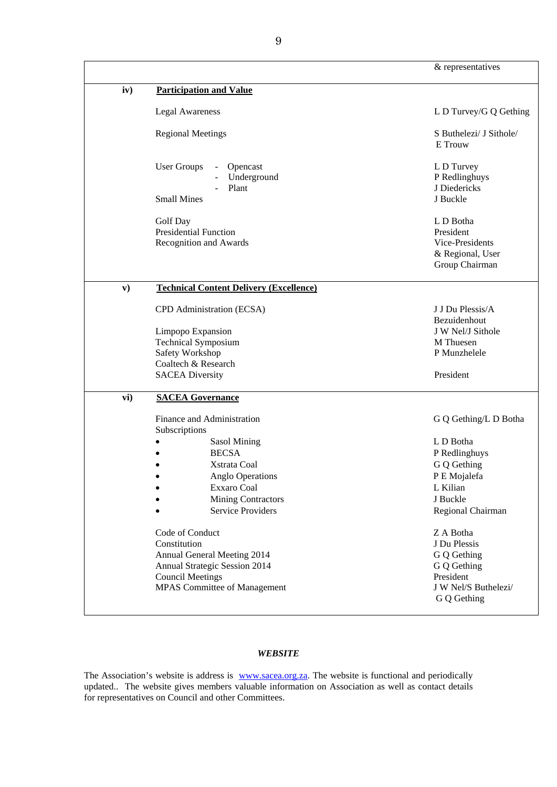|               |                                                                                                                                                                                                       | & representatives                                                                                                               |
|---------------|-------------------------------------------------------------------------------------------------------------------------------------------------------------------------------------------------------|---------------------------------------------------------------------------------------------------------------------------------|
| iv)           | <b>Participation and Value</b>                                                                                                                                                                        |                                                                                                                                 |
|               | <b>Legal Awareness</b>                                                                                                                                                                                | L D Turvey/G Q Gething                                                                                                          |
|               | <b>Regional Meetings</b>                                                                                                                                                                              | S Buthelezi/ J Sithole/<br>E Trouw                                                                                              |
|               | <b>User Groups</b><br>Opencast<br>Underground<br>Plant<br><b>Small Mines</b>                                                                                                                          | L D Turvey<br>P Redlinghuys<br>J Diedericks<br>J Buckle                                                                         |
|               | Golf Day<br><b>Presidential Function</b><br>Recognition and Awards                                                                                                                                    | L D Botha<br>President<br>Vice-Presidents<br>& Regional, User<br>Group Chairman                                                 |
| $\mathbf{v})$ | <b>Technical Content Delivery (Excellence)</b>                                                                                                                                                        |                                                                                                                                 |
|               | CPD Administration (ECSA)                                                                                                                                                                             | J J Du Plessis/A<br>Bezuidenhout                                                                                                |
|               | Limpopo Expansion<br><b>Technical Symposium</b><br>Safety Workshop<br>Coaltech & Research<br><b>SACEA Diversity</b>                                                                                   | J W Nel/J Sithole<br>M Thuesen<br>P Munzhelele<br>President                                                                     |
| vi)           | <b>SACEA Governance</b>                                                                                                                                                                               |                                                                                                                                 |
|               | Finance and Administration<br>Subscriptions<br><b>Sasol Mining</b><br><b>BECSA</b><br>Xstrata Coal<br><b>Anglo Operations</b><br>Exxaro Coal<br><b>Mining Contractors</b><br><b>Service Providers</b> | G Q Gething/L D Botha<br>L D Botha<br>P Redlinghuys<br>G Q Gething<br>P E Mojalefa<br>L Kilian<br>J Buckle<br>Regional Chairman |
|               | Code of Conduct<br>Constitution<br>Annual General Meeting 2014<br>Annual Strategic Session 2014<br><b>Council Meetings</b><br><b>MPAS Committee of Management</b>                                     | Z A Botha<br>J Du Plessis<br>G Q Gething<br>G Q Gething<br>President<br>J W Nel/S Buthelezi/<br>G Q Gething                     |

# *WEBSITE*

The Association's website is address is www.sacea.org.za. The website is functional and periodically updated.. The website gives members valuable information on Association as well as contact details for representatives on Council and other Committees.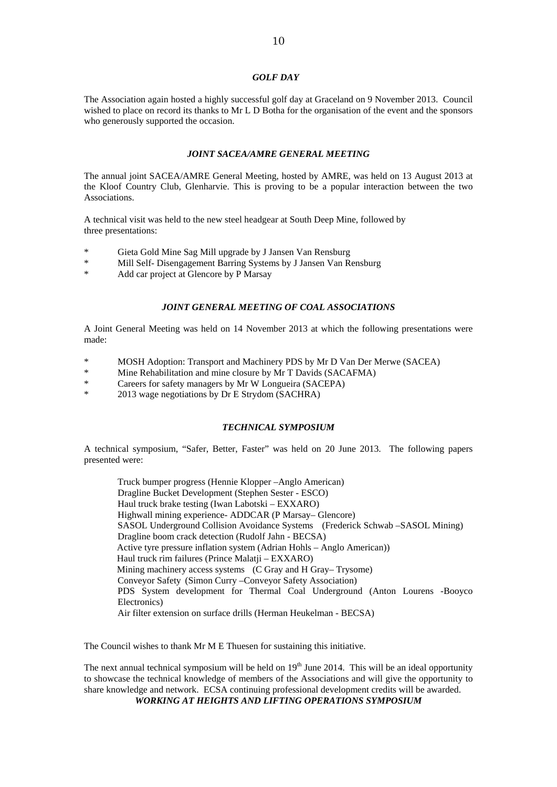## *GOLF DAY*

The Association again hosted a highly successful golf day at Graceland on 9 November 2013. Council wished to place on record its thanks to Mr L D Botha for the organisation of the event and the sponsors who generously supported the occasion.

#### *JOINT SACEA/AMRE GENERAL MEETING*

The annual joint SACEA/AMRE General Meeting, hosted by AMRE, was held on 13 August 2013 at the Kloof Country Club, Glenharvie. This is proving to be a popular interaction between the two Associations.

A technical visit was held to the new steel headgear at South Deep Mine, followed by three presentations:

- \* Gieta Gold Mine Sag Mill upgrade by J Jansen Van Rensburg
- Mill Self- Disengagement Barring Systems by J Jansen Van Rensburg
- \* Add car project at Glencore by P Marsay

#### *JOINT GENERAL MEETING OF COAL ASSOCIATIONS*

A Joint General Meeting was held on 14 November 2013 at which the following presentations were made:

- \* MOSH Adoption: Transport and Machinery PDS by Mr D Van Der Merwe (SACEA)
- \* Mine Rehabilitation and mine closure by Mr T Davids (SACAFMA)
- \* Careers for safety managers by Mr W Longueira (SACEPA)
- \* 2013 wage negotiations by Dr E Strydom (SACHRA)

## *TECHNICAL SYMPOSIUM*

A technical symposium, "Safer, Better, Faster" was held on 20 June 2013. The following papers presented were:

Truck bumper progress (Hennie Klopper –Anglo American) Dragline Bucket Development (Stephen Sester - ESCO) Haul truck brake testing (Iwan Labotski – EXXARO) Highwall mining experience- ADDCAR (P Marsay– Glencore) SASOL Underground Collision Avoidance Systems (Frederick Schwab –SASOL Mining) Dragline boom crack detection (Rudolf Jahn - BECSA) Active tyre pressure inflation system (Adrian Hohls – Anglo American)) **Haul truck rim failures (Prince Malatii – EXXARO)**  Mining machinery access systems (C Gray and H Gray– Trysome) Conveyor Safety (Simon Curry –Conveyor Safety Association) PDS System development for Thermal Coal Underground (Anton Lourens -Booyco Electronics) Air filter extension on surface drills (Herman Heukelman - BECSA)

The Council wishes to thank Mr M E Thuesen for sustaining this initiative.

The next annual technical symposium will be held on  $19<sup>th</sup>$  June 2014. This will be an ideal opportunity to showcase the technical knowledge of members of the Associations and will give the opportunity to share knowledge and network. ECSA continuing professional development credits will be awarded. *WORKING AT HEIGHTS AND LIFTING OPERATIONS SYMPOSIUM*